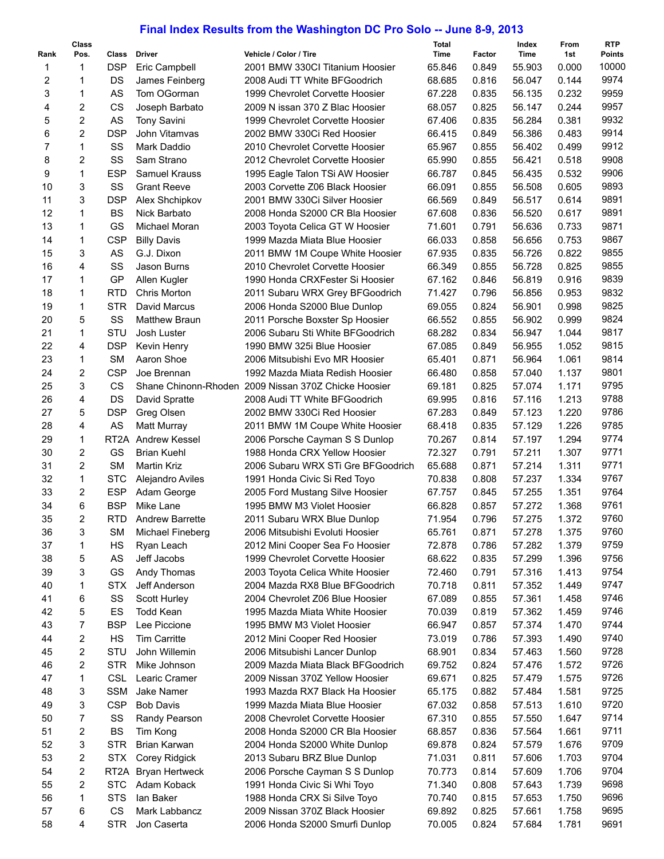## **Final Index Results from the Washington DC Pro Solo -- June 8-9, 2013**

|                | <b>Class</b>            |                   |                                  |                                                                    | Total            |                | Index            | From           | <b>RTP</b>    |
|----------------|-------------------------|-------------------|----------------------------------|--------------------------------------------------------------------|------------------|----------------|------------------|----------------|---------------|
| Rank           | Pos.                    | Class             | <b>Driver</b>                    | Vehicle / Color / Tire                                             | Time             | Factor         | Time             | 1st            | <b>Points</b> |
| 1              | 1                       | <b>DSP</b>        | Eric Campbell                    | 2001 BMW 330CI Titanium Hoosier                                    | 65.846           | 0.849          | 55.903           | 0.000          | 10000         |
| 2              | 1                       | DS                | James Feinberg                   | 2008 Audi TT White BFGoodrich                                      | 68.685           | 0.816          | 56.047           | 0.144          | 9974          |
| 3              | 1                       | AS                | Tom OGorman                      | 1999 Chevrolet Corvette Hoosier                                    | 67.228           | 0.835          | 56.135           | 0.232          | 9959          |
| 4              | $\overline{\mathbf{c}}$ | <b>CS</b>         | Joseph Barbato                   | 2009 N issan 370 Z Blac Hoosier                                    | 68.057           | 0.825          | 56.147           | 0.244          | 9957          |
| 5              | $\boldsymbol{2}$        | AS                | <b>Tony Savini</b>               | 1999 Chevrolet Corvette Hoosier                                    | 67.406           | 0.835          | 56.284           | 0.381          | 9932          |
| 6              | $\overline{c}$          | <b>DSP</b>        | John Vitamvas                    | 2002 BMW 330Ci Red Hoosier                                         | 66.415           | 0.849          | 56.386           | 0.483          | 9914          |
| $\overline{7}$ | $\mathbf{1}$            | SS                | Mark Daddio                      | 2010 Chevrolet Corvette Hoosier                                    | 65.967           | 0.855          | 56.402           | 0.499          | 9912          |
| 8              | $\boldsymbol{2}$        | SS                | Sam Strano                       | 2012 Chevrolet Corvette Hoosier                                    | 65.990           | 0.855          | 56.421           | 0.518          | 9908          |
| 9              | $\mathbf{1}$            | <b>ESP</b>        | <b>Samuel Krauss</b>             | 1995 Eagle Talon TSi AW Hoosier                                    | 66.787           | 0.845          | 56.435           | 0.532          | 9906          |
| 10             | 3                       | SS                | <b>Grant Reeve</b>               | 2003 Corvette Z06 Black Hoosier                                    | 66.091           | 0.855          | 56.508           | 0.605          | 9893          |
| 11             | 3                       | <b>DSP</b>        | Alex Shchipkov                   | 2001 BMW 330Ci Silver Hoosier                                      | 66.569           | 0.849          | 56.517           | 0.614          | 9891          |
| 12             | 1                       | <b>BS</b><br>GS   | Nick Barbato                     | 2008 Honda S2000 CR Bla Hoosier                                    | 67.608           | 0.836          | 56.520           | 0.617          | 9891<br>9871  |
| 13             | 1                       |                   | Michael Moran                    | 2003 Toyota Celica GT W Hoosier                                    | 71.601           | 0.791          | 56.636           | 0.733          | 9867          |
| 14<br>15       | 1<br>3                  | <b>CSP</b><br>AS  | <b>Billy Davis</b><br>G.J. Dixon | 1999 Mazda Miata Blue Hoosier                                      | 66.033<br>67.935 | 0.858          | 56.656<br>56.726 | 0.753<br>0.822 | 9855          |
| 16             | 4                       | SS                | Jason Burns                      | 2011 BMW 1M Coupe White Hoosier<br>2010 Chevrolet Corvette Hoosier | 66.349           | 0.835          | 56.728           | 0.825          | 9855          |
| 17             | 1                       | GP                |                                  | 1990 Honda CRXFester Si Hoosier                                    | 67.162           | 0.855<br>0.846 | 56.819           | 0.916          | 9839          |
| 18             | 1                       | <b>RTD</b>        | Allen Kugler<br>Chris Morton     | 2011 Subaru WRX Grey BFGoodrich                                    | 71.427           | 0.796          | 56.856           | 0.953          | 9832          |
| 19             | 1                       | <b>STR</b>        | David Marcus                     |                                                                    | 69.055           | 0.824          |                  | 0.998          | 9825          |
| 20             | 5                       | SS                | <b>Matthew Braun</b>             | 2006 Honda S2000 Blue Dunlop<br>2011 Porsche Boxster Sp Hoosier    | 66.552           | 0.855          | 56.901<br>56.902 | 0.999          | 9824          |
| 21             | 1                       | STU               | Josh Luster                      | 2006 Subaru Sti White BFGoodrich                                   | 68.282           | 0.834          | 56.947           | 1.044          | 9817          |
| 22             | 4                       | <b>DSP</b>        | Kevin Henry                      | 1990 BMW 325i Blue Hoosier                                         | 67.085           | 0.849          | 56.955           | 1.052          | 9815          |
| 23             | 1                       | <b>SM</b>         | Aaron Shoe                       | 2006 Mitsubishi Evo MR Hoosier                                     | 65.401           | 0.871          | 56.964           | 1.061          | 9814          |
| 24             | $\overline{\mathbf{c}}$ | <b>CSP</b>        | Joe Brennan                      | 1992 Mazda Miata Redish Hoosier                                    | 66.480           | 0.858          | 57.040           | 1.137          | 9801          |
| 25             | 3                       | <b>CS</b>         |                                  | Shane Chinonn-Rhoden 2009 Nissan 370Z Chicke Hoosier               | 69.181           | 0.825          | 57.074           | 1.171          | 9795          |
| 26             | 4                       | DS                | David Spratte                    | 2008 Audi TT White BFGoodrich                                      | 69.995           | 0.816          | 57.116           | 1.213          | 9788          |
| 27             | 5                       | <b>DSP</b>        | Greg Olsen                       | 2002 BMW 330Ci Red Hoosier                                         | 67.283           | 0.849          | 57.123           | 1.220          | 9786          |
| 28             | 4                       | AS                | Matt Murray                      | 2011 BMW 1M Coupe White Hoosier                                    | 68.418           | 0.835          | 57.129           | 1.226          | 9785          |
| 29             | 1                       | RT <sub>2</sub> A | <b>Andrew Kessel</b>             | 2006 Porsche Cayman S S Dunlop                                     | 70.267           | 0.814          | 57.197           | 1.294          | 9774          |
| 30             | $\overline{\mathbf{c}}$ | GS                | <b>Brian Kuehl</b>               | 1988 Honda CRX Yellow Hoosier                                      | 72.327           | 0.791          | 57.211           | 1.307          | 9771          |
| 31             | $\overline{2}$          | <b>SM</b>         | <b>Martin Kriz</b>               | 2006 Subaru WRX STi Gre BFGoodrich                                 | 65.688           | 0.871          | 57.214           | 1.311          | 9771          |
| 32             | 1                       | <b>STC</b>        | Alejandro Aviles                 | 1991 Honda Civic Si Red Toyo                                       | 70.838           | 0.808          | 57.237           | 1.334          | 9767          |
| 33             | $\overline{\mathbf{c}}$ | <b>ESP</b>        | Adam George                      | 2005 Ford Mustang Silve Hoosier                                    | 67.757           | 0.845          | 57.255           | 1.351          | 9764          |
| 34             | 6                       | <b>BSP</b>        | Mike Lane                        | 1995 BMW M3 Violet Hoosier                                         | 66.828           | 0.857          | 57.272           | 1.368          | 9761          |
| 35             | 2                       | <b>RTD</b>        | <b>Andrew Barrette</b>           | 2011 Subaru WRX Blue Dunlop                                        | 71.954           | 0.796          | 57.275           | 1.372          | 9760          |
| 36             | 3                       | <b>SM</b>         | Michael Fineberg                 | 2006 Mitsubishi Evoluti Hoosier                                    | 65.761           | 0.871          | 57.278           | 1.375          | 9760          |
| 37             | 1                       | HS                | Ryan Leach                       | 2012 Mini Cooper Sea Fo Hoosier                                    | 72.878           | 0.786          | 57.282           | 1.379          | 9759          |
| 38             | 5                       | AS                | Jeff Jacobs                      | 1999 Chevrolet Corvette Hoosier                                    | 68.622           | 0.835          | 57.299           | 1.396          | 9756          |
| 39             | 3                       | GS                | Andy Thomas                      | 2003 Toyota Celica White Hoosier                                   | 72.460           | 0.791          | 57.316           | 1.413          | 9754          |
| 40             | 1                       | <b>STX</b>        | Jeff Anderson                    | 2004 Mazda RX8 Blue BFGoodrich                                     | 70.718           | 0.811          | 57.352           | 1.449          | 9747          |
| 41             | 6                       | SS                | Scott Hurley                     | 2004 Chevrolet Z06 Blue Hoosier                                    | 67.089           | 0.855          | 57.361           | 1.458          | 9746          |
| 42             | 5                       | ES                | <b>Todd Kean</b>                 | 1995 Mazda Miata White Hoosier                                     | 70.039           | 0.819          | 57.362           | 1.459          | 9746          |
| 43             | 7                       | <b>BSP</b>        | Lee Piccione                     | 1995 BMW M3 Violet Hoosier                                         | 66.947           | 0.857          | 57.374           | 1.470          | 9744          |
| 44             | 2                       | HS                | Tim Carritte                     | 2012 Mini Cooper Red Hoosier                                       | 73.019           | 0.786          | 57.393           | 1.490          | 9740          |
| 45             | 2                       | STU               | John Willemin                    | 2006 Mitsubishi Lancer Dunlop                                      | 68.901           | 0.834          | 57.463           | 1.560          | 9728          |
| 46             | 2                       | <b>STR</b>        | Mike Johnson                     | 2009 Mazda Miata Black BFGoodrich                                  | 69.752           | 0.824          | 57.476           | 1.572          | 9726          |
| 47             | 1                       | <b>CSL</b>        | Learic Cramer                    | 2009 Nissan 370Z Yellow Hoosier                                    | 69.671           | 0.825          | 57.479           | 1.575          | 9726          |
| 48             | 3                       | <b>SSM</b>        | Jake Namer                       | 1993 Mazda RX7 Black Ha Hoosier                                    | 65.175           | 0.882          | 57.484           | 1.581          | 9725          |
| 49             | 3                       | <b>CSP</b>        | <b>Bob Davis</b>                 | 1999 Mazda Miata Blue Hoosier                                      | 67.032           | 0.858          | 57.513           | 1.610          | 9720          |
| 50             | 7                       | SS                | Randy Pearson                    | 2008 Chevrolet Corvette Hoosier                                    | 67.310           | 0.855          | 57.550           | 1.647          | 9714          |
| 51             | 2                       | BS                | Tim Kong                         | 2008 Honda S2000 CR Bla Hoosier                                    | 68.857           | 0.836          | 57.564           | 1.661          | 9711          |
| 52             | 3                       | <b>STR</b>        | Brian Karwan                     | 2004 Honda S2000 White Dunlop                                      | 69.878           | 0.824          | 57.579           | 1.676          | 9709          |
| 53             | 2                       | STX               | Corey Ridgick                    | 2013 Subaru BRZ Blue Dunlop                                        | 71.031           | 0.811          | 57.606           | 1.703          | 9704          |
| 54             | 2                       |                   | RT2A Bryan Hertweck              | 2006 Porsche Cayman S S Dunlop                                     | 70.773           | 0.814          | 57.609           | 1.706          | 9704          |
| 55             | $\overline{\mathbf{c}}$ | <b>STC</b>        | Adam Koback                      | 1991 Honda Civic Si Whi Toyo                                       | 71.340           | 0.808          | 57.643           | 1.739          | 9698          |
| 56             | 1                       | <b>STS</b>        | lan Baker                        | 1988 Honda CRX Si Silve Toyo                                       | 70.740           | 0.815          | 57.653           | 1.750          | 9696          |
| 57             | 6                       | <b>CS</b>         | Mark Labbancz                    | 2009 Nissan 370Z Black Hoosier                                     | 69.892           | 0.825          | 57.661           | 1.758          | 9695          |
| 58             | 4                       | STR               | Jon Caserta                      | 2006 Honda S2000 Smurfi Dunlop                                     | 70.005           | 0.824          | 57.684           | 1.781          | 9691          |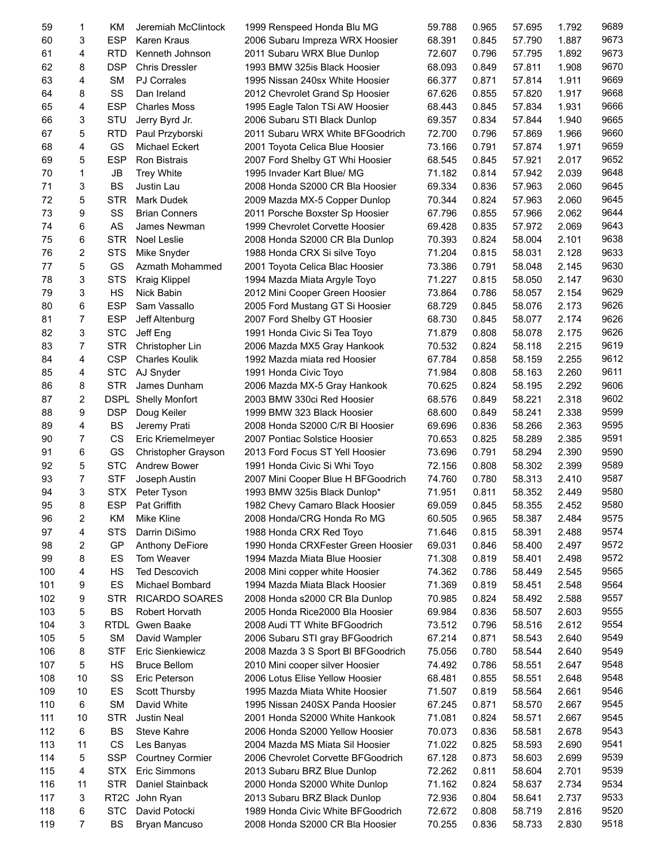| 59  | 1              | KM                | Jeremiah McClintock        | 1999 Renspeed Honda Blu MG         | 59.788 | 0.965 | 57.695 | 1.792 | 9689 |
|-----|----------------|-------------------|----------------------------|------------------------------------|--------|-------|--------|-------|------|
| 60  | 3              | <b>ESP</b>        | <b>Karen Kraus</b>         | 2006 Subaru Impreza WRX Hoosier    | 68.391 | 0.845 | 57.790 | 1.887 | 9673 |
| 61  | 4              | <b>RTD</b>        | Kenneth Johnson            | 2011 Subaru WRX Blue Dunlop        | 72.607 | 0.796 | 57.795 | 1.892 | 9673 |
| 62  | 8              | <b>DSP</b>        | <b>Chris Dressler</b>      | 1993 BMW 325is Black Hoosier       | 68.093 | 0.849 | 57.811 | 1.908 | 9670 |
| 63  | 4              | <b>SM</b>         | <b>PJ Corrales</b>         | 1995 Nissan 240sx White Hoosier    | 66.377 | 0.871 | 57.814 | 1.911 | 9669 |
| 64  | 8              | SS                | Dan Ireland                | 2012 Chevrolet Grand Sp Hoosier    | 67.626 | 0.855 | 57.820 | 1.917 | 9668 |
| 65  | 4              | <b>ESP</b>        | <b>Charles Moss</b>        | 1995 Eagle Talon TSi AW Hoosier    | 68.443 | 0.845 | 57.834 | 1.931 | 9666 |
| 66  | 3              | STU               | Jerry Byrd Jr.             | 2006 Subaru STI Black Dunlop       | 69.357 | 0.834 | 57.844 | 1.940 | 9665 |
| 67  | 5              | <b>RTD</b>        | Paul Przyborski            | 2011 Subaru WRX White BFGoodrich   | 72.700 | 0.796 | 57.869 | 1.966 | 9660 |
| 68  | 4              | GS                | Michael Eckert             | 2001 Toyota Celica Blue Hoosier    | 73.166 | 0.791 | 57.874 | 1.971 | 9659 |
| 69  | 5              | <b>ESP</b>        | Ron Bistrais               | 2007 Ford Shelby GT Whi Hoosier    | 68.545 | 0.845 | 57.921 | 2.017 | 9652 |
| 70  | 1              | JB                | <b>Trey White</b>          | 1995 Invader Kart Blue/ MG         | 71.182 | 0.814 | 57.942 | 2.039 | 9648 |
| 71  | 3              | <b>BS</b>         | Justin Lau                 | 2008 Honda S2000 CR Bla Hoosier    | 69.334 | 0.836 | 57.963 | 2.060 | 9645 |
| 72  | 5              | <b>STR</b>        | <b>Mark Dudek</b>          | 2009 Mazda MX-5 Copper Dunlop      | 70.344 | 0.824 | 57.963 | 2.060 | 9645 |
| 73  | 9              | SS                | <b>Brian Conners</b>       | 2011 Porsche Boxster Sp Hoosier    | 67.796 | 0.855 | 57.966 | 2.062 | 9644 |
| 74  |                | AS                |                            |                                    | 69.428 |       | 57.972 | 2.069 | 9643 |
|     | 6              |                   | James Newman               | 1999 Chevrolet Corvette Hoosier    |        | 0.835 |        |       |      |
| 75  | 6              | <b>STR</b>        | Noel Leslie                | 2008 Honda S2000 CR Bla Dunlop     | 70.393 | 0.824 | 58.004 | 2.101 | 9638 |
| 76  | 2              | <b>STS</b>        | Mike Snyder                | 1988 Honda CRX Si silve Toyo       | 71.204 | 0.815 | 58.031 | 2.128 | 9633 |
| 77  | 5              | GS                | Azmath Mohammed            | 2001 Toyota Celica Blac Hoosier    | 73.386 | 0.791 | 58.048 | 2.145 | 9630 |
| 78  | 3              | <b>STS</b>        | <b>Kraig Klippel</b>       | 1994 Mazda Miata Argyle Toyo       | 71.227 | 0.815 | 58.050 | 2.147 | 9630 |
| 79  | 3              | HS                | Nick Babin                 | 2012 Mini Cooper Green Hoosier     | 73.864 | 0.786 | 58.057 | 2.154 | 9629 |
| 80  | 6              | <b>ESP</b>        | Sam Vassallo               | 2005 Ford Mustang GT Si Hoosier    | 68.729 | 0.845 | 58.076 | 2.173 | 9626 |
| 81  | $\overline{7}$ | <b>ESP</b>        | Jeff Altenburg             | 2007 Ford Shelby GT Hoosier        | 68.730 | 0.845 | 58.077 | 2.174 | 9626 |
| 82  | 3              | <b>STC</b>        | Jeff Eng                   | 1991 Honda Civic Si Tea Toyo       | 71.879 | 0.808 | 58.078 | 2.175 | 9626 |
| 83  | $\overline{7}$ | <b>STR</b>        | Christopher Lin            | 2006 Mazda MX5 Gray Hankook        | 70.532 | 0.824 | 58.118 | 2.215 | 9619 |
| 84  | 4              | <b>CSP</b>        | <b>Charles Koulik</b>      | 1992 Mazda miata red Hoosier       | 67.784 | 0.858 | 58.159 | 2.255 | 9612 |
| 85  | 4              | <b>STC</b>        | AJ Snyder                  | 1991 Honda Civic Toyo              | 71.984 | 0.808 | 58.163 | 2.260 | 9611 |
| 86  | 8              | <b>STR</b>        | James Dunham               | 2006 Mazda MX-5 Gray Hankook       | 70.625 | 0.824 | 58.195 | 2.292 | 9606 |
| 87  | 2              |                   | <b>DSPL Shelly Monfort</b> | 2003 BMW 330ci Red Hoosier         | 68.576 | 0.849 | 58.221 | 2.318 | 9602 |
| 88  | 9              | <b>DSP</b>        | Doug Keiler                | 1999 BMW 323 Black Hoosier         | 68.600 | 0.849 | 58.241 | 2.338 | 9599 |
| 89  | 4              | <b>BS</b>         | Jeremy Prati               | 2008 Honda S2000 C/R BI Hoosier    | 69.696 | 0.836 | 58.266 | 2.363 | 9595 |
| 90  | $\overline{7}$ | CS                | Eric Kriemelmeyer          | 2007 Pontiac Solstice Hoosier      | 70.653 | 0.825 | 58.289 | 2.385 | 9591 |
| 91  | 6              | GS                | Christopher Grayson        | 2013 Ford Focus ST Yell Hoosier    | 73.696 | 0.791 | 58.294 | 2.390 | 9590 |
| 92  | 5              | <b>STC</b>        | <b>Andrew Bower</b>        | 1991 Honda Civic Si Whi Toyo       | 72.156 | 0.808 | 58.302 | 2.399 | 9589 |
| 93  | $\overline{7}$ | <b>STF</b>        | Joseph Austin              | 2007 Mini Cooper Blue H BFGoodrich | 74.760 | 0.780 | 58.313 | 2.410 | 9587 |
| 94  | 3              | <b>STX</b>        | Peter Tyson                | 1993 BMW 325is Black Dunlop*       | 71.951 | 0.811 | 58.352 | 2.449 | 9580 |
| 95  | 8              | ESP               | Pat Griffith               | 1982 Chevy Camaro Black Hoosier    | 69.059 | 0.845 | 58.355 | 2.452 | 9580 |
| 96  | 2              | ΚM                | Mike Kline                 | 2008 Honda/CRG Honda Ro MG         | 60.505 | 0.965 | 58.387 | 2.484 | 9575 |
| 97  | 4              | <b>STS</b>        | Darrin DiSimo              | 1988 Honda CRX Red Toyo            | 71.646 | 0.815 | 58.391 | 2.488 | 9574 |
| 98  | 2              | GP                | Anthony DeFiore            | 1990 Honda CRXFester Green Hoosier | 69.031 | 0.846 | 58.400 | 2.497 | 9572 |
|     | 8              | ES                | Tom Weaver                 | 1994 Mazda Miata Blue Hoosier      |        |       |        |       | 9572 |
| 99  |                |                   |                            |                                    | 71.308 | 0.819 | 58.401 | 2.498 |      |
| 100 | 4              | HS                | <b>Ted Descovich</b>       | 2008 Mini copper white Hoosier     | 74.362 | 0.786 | 58.449 | 2.545 | 9565 |
| 101 | 9              | ES                | Michael Bombard            | 1994 Mazda Miata Black Hoosier     | 71.369 | 0.819 | 58.451 | 2.548 | 9564 |
| 102 | 9              | STR               | <b>RICARDO SOARES</b>      | 2008 Honda s2000 CR Bla Dunlop     | 70.985 | 0.824 | 58.492 | 2.588 | 9557 |
| 103 | 5              | <b>BS</b>         | Robert Horvath             | 2005 Honda Rice2000 Bla Hoosier    | 69.984 | 0.836 | 58.507 | 2.603 | 9555 |
| 104 | 3              | <b>RTDL</b>       | Gwen Baake                 | 2008 Audi TT White BFGoodrich      | 73.512 | 0.796 | 58.516 | 2.612 | 9554 |
| 105 | 5              | <b>SM</b>         | David Wampler              | 2006 Subaru STI gray BFGoodrich    | 67.214 | 0.871 | 58.543 | 2.640 | 9549 |
| 106 | 8              | <b>STF</b>        | Eric Sienkiewicz           | 2008 Mazda 3 S Sport BI BFGoodrich | 75.056 | 0.780 | 58.544 | 2.640 | 9549 |
| 107 | 5              | HS                | <b>Bruce Bellom</b>        | 2010 Mini cooper silver Hoosier    | 74.492 | 0.786 | 58.551 | 2.647 | 9548 |
| 108 | 10             | SS                | Eric Peterson              | 2006 Lotus Elise Yellow Hoosier    | 68.481 | 0.855 | 58.551 | 2.648 | 9548 |
| 109 | 10             | ES                | Scott Thursby              | 1995 Mazda Miata White Hoosier     | 71.507 | 0.819 | 58.564 | 2.661 | 9546 |
| 110 | 6              | <b>SM</b>         | David White                | 1995 Nissan 240SX Panda Hoosier    | 67.245 | 0.871 | 58.570 | 2.667 | 9545 |
| 111 | 10             | STR               | Justin Neal                | 2001 Honda S2000 White Hankook     | 71.081 | 0.824 | 58.571 | 2.667 | 9545 |
| 112 | 6              | <b>BS</b>         | Steve Kahre                | 2006 Honda S2000 Yellow Hoosier    | 70.073 | 0.836 | 58.581 | 2.678 | 9543 |
| 113 | 11             | CS                | Les Banyas                 | 2004 Mazda MS Miata Sil Hoosier    | 71.022 | 0.825 | 58.593 | 2.690 | 9541 |
| 114 | 5              | <b>SSP</b>        | <b>Courtney Cormier</b>    | 2006 Chevrolet Corvette BFGoodrich | 67.128 | 0.873 | 58.603 | 2.699 | 9539 |
| 115 | 4              | <b>STX</b>        | Eric Simmons               | 2013 Subaru BRZ Blue Dunlop        | 72.262 | 0.811 | 58.604 | 2.701 | 9539 |
| 116 | 11             | <b>STR</b>        | Daniel Stainback           | 2000 Honda S2000 White Dunlop      | 71.162 | 0.824 | 58.637 | 2.734 | 9534 |
| 117 | 3              | RT <sub>2</sub> C | John Ryan                  | 2013 Subaru BRZ Black Dunlop       | 72.936 | 0.804 | 58.641 | 2.737 | 9533 |
| 118 | 6              | <b>STC</b>        | David Potocki              | 1989 Honda Civic White BFGoodrich  | 72.672 | 0.808 | 58.719 | 2.816 | 9520 |
| 119 | 7              | BS                | Bryan Mancuso              | 2008 Honda S2000 CR Bla Hoosier    | 70.255 | 0.836 | 58.733 | 2.830 | 9518 |
|     |                |                   |                            |                                    |        |       |        |       |      |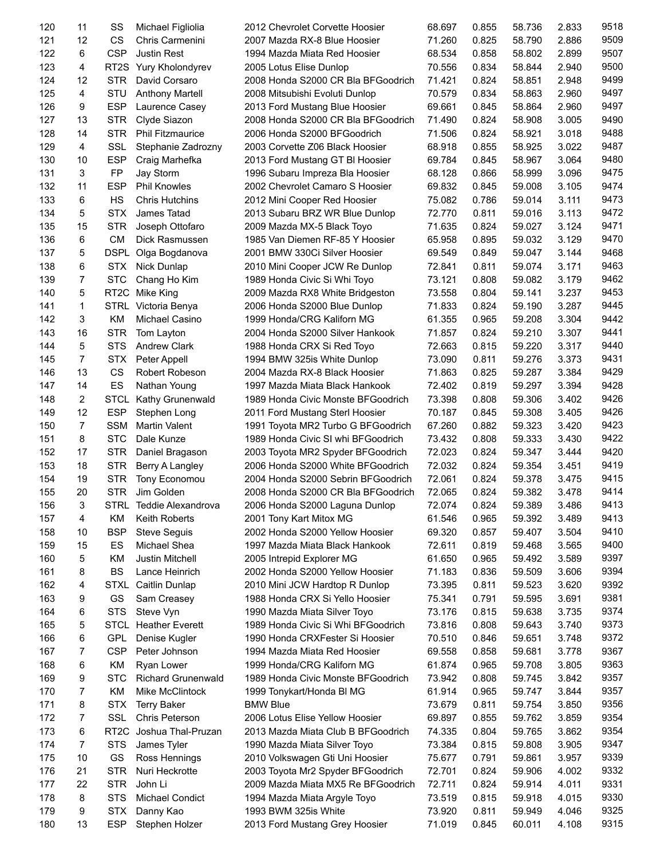| 120 | 11 | SS                | Michael Figliolia         | 2012 Chevrolet Corvette Hoosier    | 68.697 | 0.855 | 58.736 | 2.833 | 9518 |
|-----|----|-------------------|---------------------------|------------------------------------|--------|-------|--------|-------|------|
| 121 | 12 | <b>CS</b>         | Chris Carmenini           | 2007 Mazda RX-8 Blue Hoosier       | 71.260 | 0.825 | 58.790 | 2.886 | 9509 |
| 122 | 6  | <b>CSP</b>        | <b>Justin Rest</b>        | 1994 Mazda Miata Red Hoosier       | 68.534 | 0.858 | 58.802 | 2.899 | 9507 |
| 123 | 4  |                   | RT2S Yury Kholondyrev     | 2005 Lotus Elise Dunlop            | 70.556 | 0.834 | 58.844 | 2.940 | 9500 |
| 124 | 12 | <b>STR</b>        | David Corsaro             | 2008 Honda S2000 CR Bla BFGoodrich | 71.421 | 0.824 | 58.851 | 2.948 | 9499 |
| 125 | 4  | STU               | <b>Anthony Martell</b>    | 2008 Mitsubishi Evoluti Dunlop     | 70.579 | 0.834 | 58.863 | 2.960 | 9497 |
| 126 | 9  | <b>ESP</b>        | Laurence Casey            | 2013 Ford Mustang Blue Hoosier     | 69.661 | 0.845 | 58.864 | 2.960 | 9497 |
| 127 | 13 | <b>STR</b>        | Clyde Siazon              | 2008 Honda S2000 CR Bla BFGoodrich | 71.490 | 0.824 | 58.908 | 3.005 | 9490 |
| 128 | 14 | <b>STR</b>        | <b>Phil Fitzmaurice</b>   | 2006 Honda S2000 BFGoodrich        | 71.506 | 0.824 | 58.921 | 3.018 | 9488 |
| 129 | 4  | <b>SSL</b>        | Stephanie Zadrozny        | 2003 Corvette Z06 Black Hoosier    | 68.918 | 0.855 | 58.925 | 3.022 | 9487 |
| 130 | 10 | <b>ESP</b>        | Craig Marhefka            | 2013 Ford Mustang GT BI Hoosier    | 69.784 | 0.845 | 58.967 | 3.064 | 9480 |
| 131 | 3  | FP                | Jay Storm                 | 1996 Subaru Impreza Bla Hoosier    | 68.128 | 0.866 | 58.999 | 3.096 | 9475 |
| 132 | 11 | <b>ESP</b>        | <b>Phil Knowles</b>       | 2002 Chevrolet Camaro S Hoosier    | 69.832 | 0.845 | 59.008 | 3.105 | 9474 |
| 133 | 6  | HS                | <b>Chris Hutchins</b>     | 2012 Mini Cooper Red Hoosier       | 75.082 | 0.786 | 59.014 | 3.111 | 9473 |
| 134 | 5  | <b>STX</b>        | James Tatad               | 2013 Subaru BRZ WR Blue Dunlop     | 72.770 | 0.811 | 59.016 | 3.113 | 9472 |
| 135 | 15 | <b>STR</b>        |                           |                                    | 71.635 | 0.824 | 59.027 | 3.124 | 9471 |
|     |    |                   | Joseph Ottofaro           | 2009 Mazda MX-5 Black Toyo         |        |       |        |       | 9470 |
| 136 | 6  | <b>CM</b>         | Dick Rasmussen            | 1985 Van Diemen RF-85 Y Hoosier    | 65.958 | 0.895 | 59.032 | 3.129 |      |
| 137 | 5  | DSPL              | Olga Bogdanova            | 2001 BMW 330Ci Silver Hoosier      | 69.549 | 0.849 | 59.047 | 3.144 | 9468 |
| 138 | 6  | <b>STX</b>        | Nick Dunlap               | 2010 Mini Cooper JCW Re Dunlop     | 72.841 | 0.811 | 59.074 | 3.171 | 9463 |
| 139 | 7  | <b>STC</b>        | Chang Ho Kim              | 1989 Honda Civic Si Whi Toyo       | 73.121 | 0.808 | 59.082 | 3.179 | 9462 |
| 140 | 5  | RT <sub>2</sub> C | Mike King                 | 2009 Mazda RX8 White Bridgeston    | 73.558 | 0.804 | 59.141 | 3.237 | 9453 |
| 141 | 1  | STRL              | Victoria Benya            | 2006 Honda S2000 Blue Dunlop       | 71.833 | 0.824 | 59.190 | 3.287 | 9445 |
| 142 | 3  | ΚM                | Michael Casino            | 1999 Honda/CRG Kaliforn MG         | 61.355 | 0.965 | 59.208 | 3.304 | 9442 |
| 143 | 16 | <b>STR</b>        | Tom Layton                | 2004 Honda S2000 Silver Hankook    | 71.857 | 0.824 | 59.210 | 3.307 | 9441 |
| 144 | 5  | <b>STS</b>        | <b>Andrew Clark</b>       | 1988 Honda CRX Si Red Toyo         | 72.663 | 0.815 | 59.220 | 3.317 | 9440 |
| 145 | 7  | <b>STX</b>        | Peter Appell              | 1994 BMW 325is White Dunlop        | 73.090 | 0.811 | 59.276 | 3.373 | 9431 |
| 146 | 13 | CS                | Robert Robeson            | 2004 Mazda RX-8 Black Hoosier      | 71.863 | 0.825 | 59.287 | 3.384 | 9429 |
| 147 | 14 | ES                | Nathan Young              | 1997 Mazda Miata Black Hankook     | 72.402 | 0.819 | 59.297 | 3.394 | 9428 |
| 148 | 2  | STCL              | <b>Kathy Grunenwald</b>   | 1989 Honda Civic Monste BFGoodrich | 73.398 | 0.808 | 59.306 | 3.402 | 9426 |
| 149 | 12 | <b>ESP</b>        | Stephen Long              | 2011 Ford Mustang Sterl Hoosier    | 70.187 | 0.845 | 59.308 | 3.405 | 9426 |
| 150 | 7  | <b>SSM</b>        | Martin Valent             | 1991 Toyota MR2 Turbo G BFGoodrich | 67.260 | 0.882 | 59.323 | 3.420 | 9423 |
| 151 | 8  | <b>STC</b>        | Dale Kunze                | 1989 Honda Civic SI whi BFGoodrich | 73.432 | 0.808 | 59.333 | 3.430 | 9422 |
| 152 | 17 | <b>STR</b>        | Daniel Bragason           | 2003 Toyota MR2 Spyder BFGoodrich  | 72.023 | 0.824 | 59.347 | 3.444 | 9420 |
| 153 | 18 | <b>STR</b>        | Berry A Langley           | 2006 Honda S2000 White BFGoodrich  | 72.032 | 0.824 | 59.354 | 3.451 | 9419 |
| 154 | 19 | <b>STR</b>        | Tony Economou             | 2004 Honda S2000 Sebrin BFGoodrich | 72.061 | 0.824 | 59.378 | 3.475 | 9415 |
| 155 | 20 | <b>STR</b>        | Jim Golden                | 2008 Honda S2000 CR Bla BFGoodrich | 72.065 | 0.824 | 59.382 | 3.478 | 9414 |
| 156 | 3  | STRL              | Teddie Alexandrova        | 2006 Honda S2000 Laguna Dunlop     | 72.074 | 0.824 | 59.389 | 3.486 | 9413 |
| 157 | 4  | ΚM                | Keith Roberts             | 2001 Tony Kart Mitox MG            | 61.546 | 0.965 | 59.392 | 3.489 | 9413 |
| 158 | 10 | <b>BSP</b>        | <b>Steve Seguis</b>       | 2002 Honda S2000 Yellow Hoosier    | 69.320 | 0.857 | 59.407 | 3.504 | 9410 |
| 159 | 15 | ES                | Michael Shea              | 1997 Mazda Miata Black Hankook     | 72.611 | 0.819 | 59.468 | 3.565 | 9400 |
| 160 | 5  | ΚM                | Justin Mitchell           | 2005 Intrepid Explorer MG          | 61.650 | 0.965 | 59.492 | 3.589 | 9397 |
|     | 8  | <b>BS</b>         | Lance Heinrich            |                                    |        |       |        | 3.606 | 9394 |
| 161 |    |                   |                           | 2002 Honda S2000 Yellow Hoosier    | 71.183 | 0.836 | 59.509 |       | 9392 |
| 162 | 4  | <b>STXL</b>       | Caitlin Dunlap            | 2010 Mini JCW Hardtop R Dunlop     | 73.395 | 0.811 | 59.523 | 3.620 |      |
| 163 | 9  | GS                | Sam Creasey               | 1988 Honda CRX Si Yello Hoosier    | 75.341 | 0.791 | 59.595 | 3.691 | 9381 |
| 164 | 6  | <b>STS</b>        | Steve Vyn                 | 1990 Mazda Miata Silver Toyo       | 73.176 | 0.815 | 59.638 | 3.735 | 9374 |
| 165 | 5  | <b>STCL</b>       | <b>Heather Everett</b>    | 1989 Honda Civic Si Whi BFGoodrich | 73.816 | 0.808 | 59.643 | 3.740 | 9373 |
| 166 | 6  | GPL               | Denise Kugler             | 1990 Honda CRXFester Si Hoosier    | 70.510 | 0.846 | 59.651 | 3.748 | 9372 |
| 167 | 7  | <b>CSP</b>        | Peter Johnson             | 1994 Mazda Miata Red Hoosier       | 69.558 | 0.858 | 59.681 | 3.778 | 9367 |
| 168 | 6  | KM                | Ryan Lower                | 1999 Honda/CRG Kaliforn MG         | 61.874 | 0.965 | 59.708 | 3.805 | 9363 |
| 169 | 9  | <b>STC</b>        | <b>Richard Grunenwald</b> | 1989 Honda Civic Monste BFGoodrich | 73.942 | 0.808 | 59.745 | 3.842 | 9357 |
| 170 | 7  | ΚM                | Mike McClintock           | 1999 Tonykart/Honda BI MG          | 61.914 | 0.965 | 59.747 | 3.844 | 9357 |
| 171 | 8  | <b>STX</b>        | <b>Terry Baker</b>        | <b>BMW Blue</b>                    | 73.679 | 0.811 | 59.754 | 3.850 | 9356 |
| 172 | 7  | SSL               | Chris Peterson            | 2006 Lotus Elise Yellow Hoosier    | 69.897 | 0.855 | 59.762 | 3.859 | 9354 |
| 173 | 6  | RT2C              | Joshua Thal-Pruzan        | 2013 Mazda Miata Club B BFGoodrich | 74.335 | 0.804 | 59.765 | 3.862 | 9354 |
| 174 | 7  | <b>STS</b>        | James Tyler               | 1990 Mazda Miata Silver Toyo       | 73.384 | 0.815 | 59.808 | 3.905 | 9347 |
| 175 | 10 | GS                | Ross Hennings             | 2010 Volkswagen Gti Uni Hoosier    | 75.677 | 0.791 | 59.861 | 3.957 | 9339 |
| 176 | 21 | <b>STR</b>        | Nuri Heckrotte            | 2003 Toyota Mr2 Spyder BFGoodrich  | 72.701 | 0.824 | 59.906 | 4.002 | 9332 |
| 177 | 22 | <b>STR</b>        | John Li                   | 2009 Mazda Miata MX5 Re BFGoodrich | 72.711 | 0.824 | 59.914 | 4.011 | 9331 |
| 178 | 8  | <b>STS</b>        | Michael Condict           | 1994 Mazda Miata Argyle Toyo       | 73.519 | 0.815 | 59.918 | 4.015 | 9330 |
| 179 | 9  | <b>STX</b>        | Danny Kao                 | 1993 BWM 325is White               | 73.920 | 0.811 | 59.949 | 4.046 | 9325 |
| 180 | 13 | <b>ESP</b>        | Stephen Holzer            | 2013 Ford Mustang Grey Hoosier     | 71.019 | 0.845 | 60.011 | 4.108 | 9315 |
|     |    |                   |                           |                                    |        |       |        |       |      |